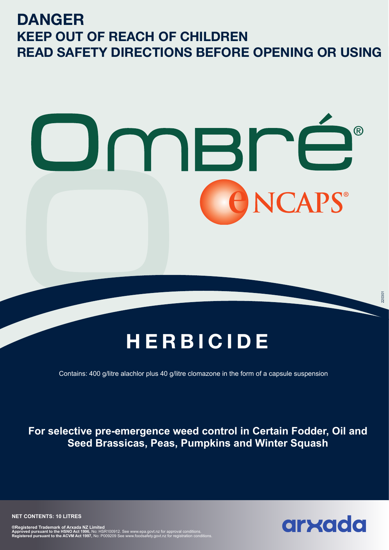# **DANGER KEEP OUT OF REACH OF CHILDREN READ SAFETY DIRECTIONS BEFORE OPENING OR USING**



# **HERBICIDE**

Contains: 400 g/litre alachlor plus 40 g/litre clomazone in the form of a capsule suspension

**For selective pre-emergence weed control in Certain Fodder, Oil and Seed Brassicas, Peas, Pumpkins and Winter Squash**

220301

**NET CONTENTS: 10 LITRES**